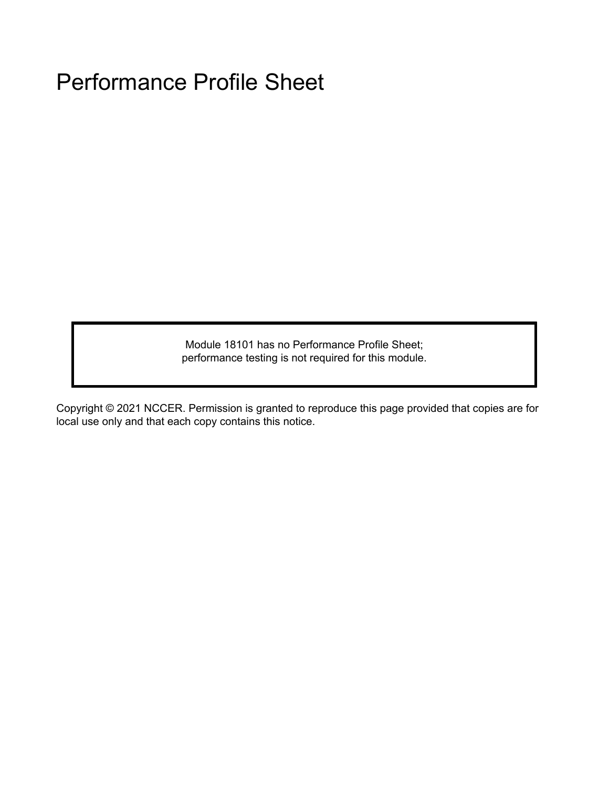Module 18101 has no Performance Profile Sheet; performance testing is not required for this module.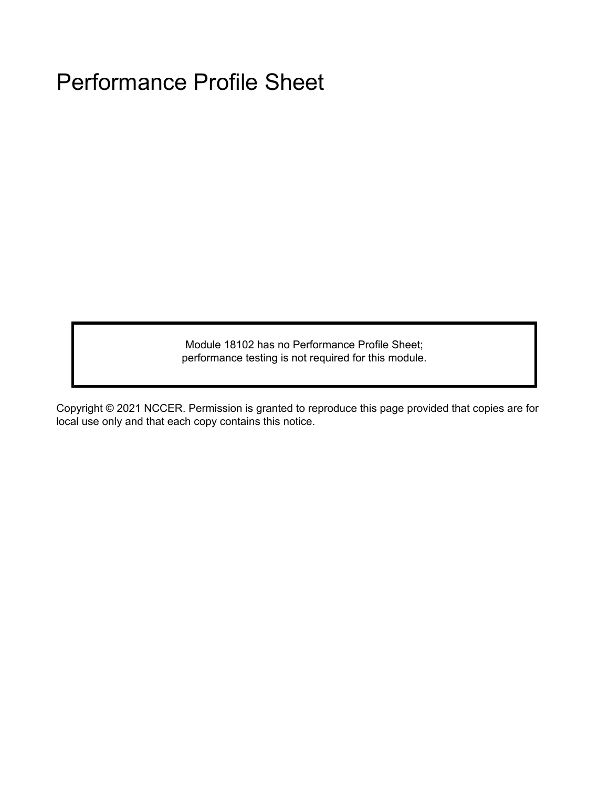Module 18102 has no Performance Profile Sheet; performance testing is not required for this module.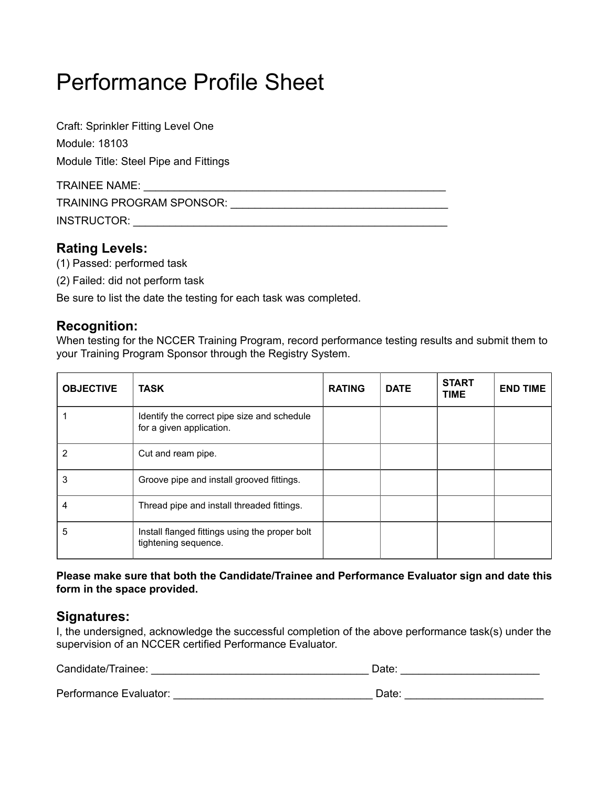| Craft: Sprinkler Fitting Level One    |  |
|---------------------------------------|--|
| Module: 18103                         |  |
| Module Title: Steel Pipe and Fittings |  |
| <b>TRAINEE NAME:</b>                  |  |
| TRAINING PROGRAM SPONSOR:             |  |
| INSTRUCTOR:                           |  |

## **Rating Levels:**

- (1) Passed: performed task
- (2) Failed: did not perform task

Be sure to list the date the testing for each task was completed.

## **Recognition:**

When testing for the NCCER Training Program, record performance testing results and submit them to your Training Program Sponsor through the Registry System.

| <b>OBJECTIVE</b> | <b>TASK</b>                                                             | <b>RATING</b> | <b>DATE</b> | <b>START</b><br><b>TIME</b> | <b>END TIME</b> |
|------------------|-------------------------------------------------------------------------|---------------|-------------|-----------------------------|-----------------|
|                  | Identify the correct pipe size and schedule<br>for a given application. |               |             |                             |                 |
| 2                | Cut and ream pipe.                                                      |               |             |                             |                 |
| 3                | Groove pipe and install grooved fittings.                               |               |             |                             |                 |
|                  | Thread pipe and install threaded fittings.                              |               |             |                             |                 |
| 5                | Install flanged fittings using the proper bolt<br>tightening sequence.  |               |             |                             |                 |

### **Please make sure that both the Candidate/Trainee and Performance Evaluator sign and date this form in the space provided.**

## **Signatures:**

I, the undersigned, acknowledge the successful completion of the above performance task(s) under the supervision of an NCCER certified Performance Evaluator.

| Candidate/Trainee:     | Date: |
|------------------------|-------|
|                        |       |
| Performance Evaluator: | Date: |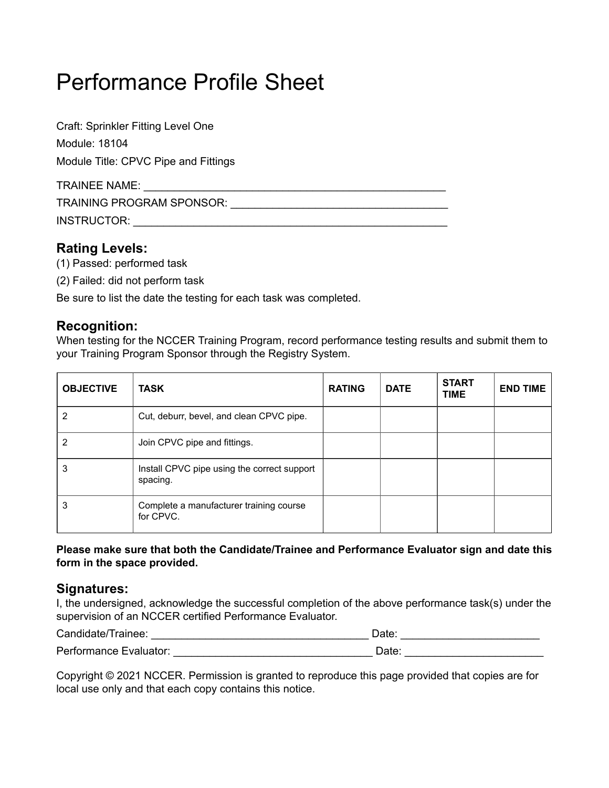| Craft: Sprinkler Fitting Level One   |  |
|--------------------------------------|--|
| Module: 18104                        |  |
| Module Title: CPVC Pipe and Fittings |  |
| TRAINEE NAME:                        |  |
| TRAINING PROGRAM SPONSOR:            |  |
| INSTRUCTOR:                          |  |

## **Rating Levels:**

- (1) Passed: performed task
- (2) Failed: did not perform task

Be sure to list the date the testing for each task was completed.

## **Recognition:**

When testing for the NCCER Training Program, record performance testing results and submit them to your Training Program Sponsor through the Registry System.

| <b>OBJECTIVE</b> | <b>TASK</b>                                             | <b>RATING</b> | <b>DATE</b> | <b>START</b><br><b>TIME</b> | <b>END TIME</b> |
|------------------|---------------------------------------------------------|---------------|-------------|-----------------------------|-----------------|
| 2                | Cut, deburr, bevel, and clean CPVC pipe.                |               |             |                             |                 |
| 2                | Join CPVC pipe and fittings.                            |               |             |                             |                 |
| 3                | Install CPVC pipe using the correct support<br>spacing. |               |             |                             |                 |
| 3                | Complete a manufacturer training course<br>for CPVC.    |               |             |                             |                 |

### **Please make sure that both the Candidate/Trainee and Performance Evaluator sign and date this form in the space provided.**

### **Signatures:**

I, the undersigned, acknowledge the successful completion of the above performance task(s) under the supervision of an NCCER certified Performance Evaluator.

| Candidate/Trainee:     | Date: |
|------------------------|-------|
| Performance Evaluator: |       |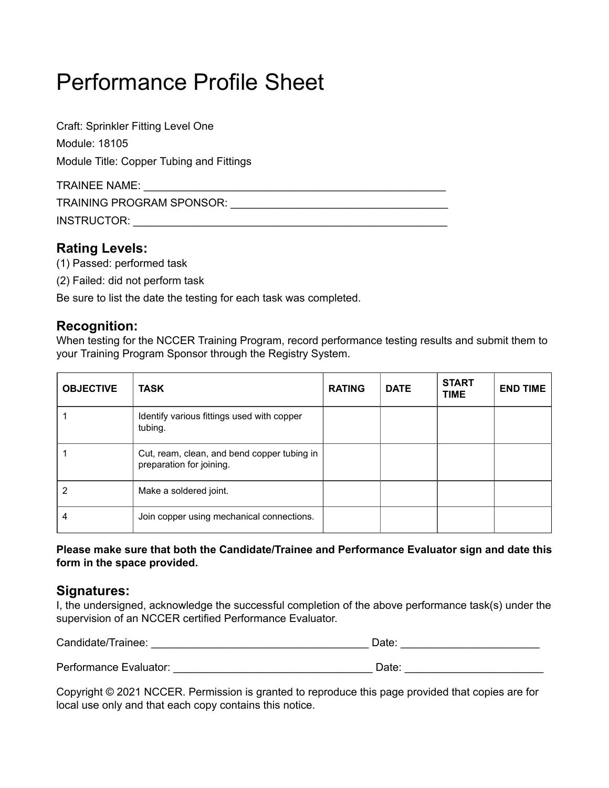| Craft: Sprinkler Fitting Level One       |  |
|------------------------------------------|--|
| Module: 18105                            |  |
| Module Title: Copper Tubing and Fittings |  |
| <b>TRAINEE NAME:</b>                     |  |
| TRAINING PROGRAM SPONSOR:                |  |
|                                          |  |

## **Rating Levels:**

- (1) Passed: performed task
- (2) Failed: did not perform task

Be sure to list the date the testing for each task was completed.

## **Recognition:**

When testing for the NCCER Training Program, record performance testing results and submit them to your Training Program Sponsor through the Registry System.

| <b>OBJECTIVE</b> | <b>TASK</b>                                                             | <b>RATING</b> | <b>DATE</b> | <b>START</b><br><b>TIME</b> | <b>END TIME</b> |
|------------------|-------------------------------------------------------------------------|---------------|-------------|-----------------------------|-----------------|
|                  | Identify various fittings used with copper<br>tubing.                   |               |             |                             |                 |
|                  | Cut, ream, clean, and bend copper tubing in<br>preparation for joining. |               |             |                             |                 |
|                  | Make a soldered joint.                                                  |               |             |                             |                 |
| 4                | Join copper using mechanical connections.                               |               |             |                             |                 |

### **Please make sure that both the Candidate/Trainee and Performance Evaluator sign and date this form in the space provided.**

### **Signatures:**

I, the undersigned, acknowledge the successful completion of the above performance task(s) under the supervision of an NCCER certified Performance Evaluator.

| Candidate/Trainee:     | Date: |
|------------------------|-------|
|                        |       |
| Performance Evaluator: | Date: |